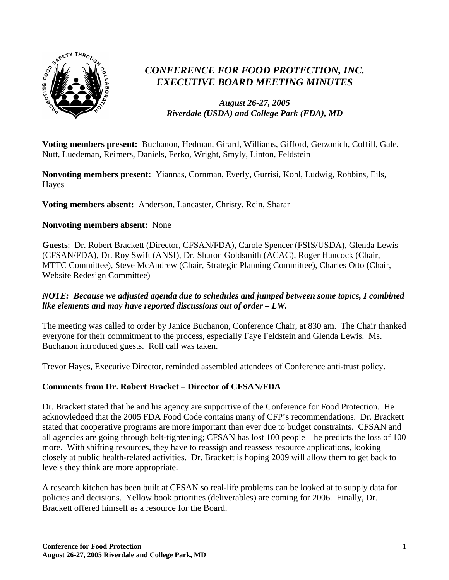

# *CONFERENCE FOR FOOD PROTECTION, INC. EXECUTIVE BOARD MEETING MINUTES*

#### *August 26-27, 2005 Riverdale (USDA) and College Park (FDA), MD*

**Voting members present:** Buchanon, Hedman, Girard, Williams, Gifford, Gerzonich, Coffill, Gale, Nutt, Luedeman, Reimers, Daniels, Ferko, Wright, Smyly, Linton, Feldstein

**Nonvoting members present:** Yiannas, Cornman, Everly, Gurrisi, Kohl, Ludwig, Robbins, Eils, Hayes

**Voting members absent:** Anderson, Lancaster, Christy, Rein, Sharar

#### **Nonvoting members absent:** None

**Guests**: Dr. Robert Brackett (Director, CFSAN/FDA), Carole Spencer (FSIS/USDA), Glenda Lewis (CFSAN/FDA), Dr. Roy Swift (ANSI), Dr. Sharon Goldsmith (ACAC), Roger Hancock (Chair, MTTC Committee), Steve McAndrew (Chair, Strategic Planning Committee), Charles Otto (Chair, Website Redesign Committee)

#### *NOTE: Because we adjusted agenda due to schedules and jumped between some topics, I combined like elements and may have reported discussions out of order – LW.*

The meeting was called to order by Janice Buchanon, Conference Chair, at 830 am. The Chair thanked everyone for their commitment to the process, especially Faye Feldstein and Glenda Lewis. Ms. Buchanon introduced guests. Roll call was taken.

Trevor Hayes, Executive Director, reminded assembled attendees of Conference anti-trust policy.

#### **Comments from Dr. Robert Bracket – Director of CFSAN/FDA**

Dr. Brackett stated that he and his agency are supportive of the Conference for Food Protection. He acknowledged that the 2005 FDA Food Code contains many of CFP's recommendations. Dr. Brackett stated that cooperative programs are more important than ever due to budget constraints. CFSAN and all agencies are going through belt-tightening; CFSAN has lost 100 people – he predicts the loss of 100 more. With shifting resources, they have to reassign and reassess resource applications, looking closely at public health-related activities. Dr. Brackett is hoping 2009 will allow them to get back to levels they think are more appropriate.

A research kitchen has been built at CFSAN so real-life problems can be looked at to supply data for policies and decisions. Yellow book priorities (deliverables) are coming for 2006. Finally, Dr. Brackett offered himself as a resource for the Board.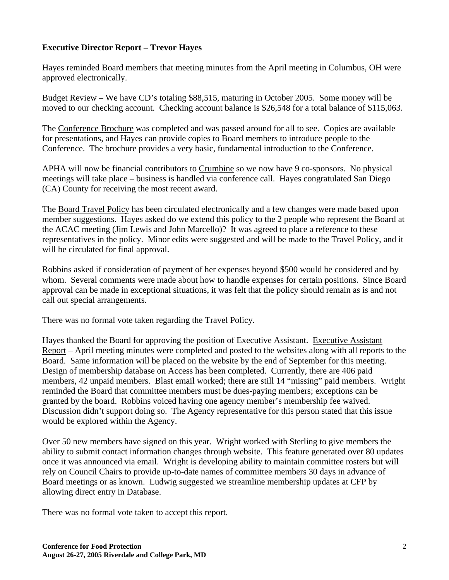#### **Executive Director Report – Trevor Hayes**

Hayes reminded Board members that meeting minutes from the April meeting in Columbus, OH were approved electronically.

Budget Review – We have CD's totaling \$88,515, maturing in October 2005. Some money will be moved to our checking account. Checking account balance is \$26,548 for a total balance of \$115,063.

The Conference Brochure was completed and was passed around for all to see. Copies are available for presentations, and Hayes can provide copies to Board members to introduce people to the Conference. The brochure provides a very basic, fundamental introduction to the Conference.

APHA will now be financial contributors to Crumbine so we now have 9 co-sponsors. No physical meetings will take place – business is handled via conference call. Hayes congratulated San Diego (CA) County for receiving the most recent award.

The Board Travel Policy has been circulated electronically and a few changes were made based upon member suggestions. Hayes asked do we extend this policy to the 2 people who represent the Board at the ACAC meeting (Jim Lewis and John Marcello)? It was agreed to place a reference to these representatives in the policy. Minor edits were suggested and will be made to the Travel Policy, and it will be circulated for final approval.

Robbins asked if consideration of payment of her expenses beyond \$500 would be considered and by whom. Several comments were made about how to handle expenses for certain positions. Since Board approval can be made in exceptional situations, it was felt that the policy should remain as is and not call out special arrangements.

There was no formal vote taken regarding the Travel Policy.

Hayes thanked the Board for approving the position of Executive Assistant. Executive Assistant Report – April meeting minutes were completed and posted to the websites along with all reports to the Board. Same information will be placed on the website by the end of September for this meeting. Design of membership database on Access has been completed. Currently, there are 406 paid members, 42 unpaid members. Blast email worked; there are still 14 "missing" paid members. Wright reminded the Board that committee members must be dues-paying members; exceptions can be granted by the board. Robbins voiced having one agency member's membership fee waived. Discussion didn't support doing so. The Agency representative for this person stated that this issue would be explored within the Agency.

Over 50 new members have signed on this year. Wright worked with Sterling to give members the ability to submit contact information changes through website. This feature generated over 80 updates once it was announced via email. Wright is developing ability to maintain committee rosters but will rely on Council Chairs to provide up-to-date names of committee members 30 days in advance of Board meetings or as known. Ludwig suggested we streamline membership updates at CFP by allowing direct entry in Database.

There was no formal vote taken to accept this report.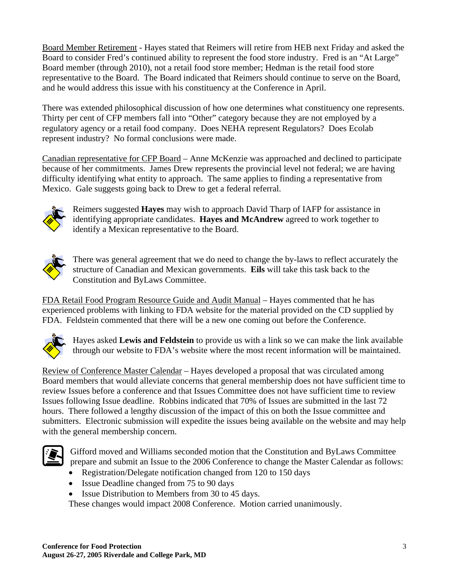Board Member Retirement - Hayes stated that Reimers will retire from HEB next Friday and asked the Board to consider Fred's continued ability to represent the food store industry. Fred is an "At Large" Board member (through 2010), not a retail food store member; Hedman is the retail food store representative to the Board. The Board indicated that Reimers should continue to serve on the Board, and he would address this issue with his constituency at the Conference in April.

There was extended philosophical discussion of how one determines what constituency one represents. Thirty per cent of CFP members fall into "Other" category because they are not employed by a regulatory agency or a retail food company. Does NEHA represent Regulators? Does Ecolab represent industry? No formal conclusions were made.

Canadian representative for CFP Board – Anne McKenzie was approached and declined to participate because of her commitments. James Drew represents the provincial level not federal; we are having difficulty identifying what entity to approach. The same applies to finding a representative from Mexico. Gale suggests going back to Drew to get a federal referral.



Reimers suggested **Hayes** may wish to approach David Tharp of IAFP for assistance in identifying appropriate candidates. **Hayes and McAndrew** agreed to work together to identify a Mexican representative to the Board.



There was general agreement that we do need to change the by-laws to reflect accurately the structure of Canadian and Mexican governments. **Eils** will take this task back to the Constitution and ByLaws Committee.

FDA Retail Food Program Resource Guide and Audit Manual – Hayes commented that he has experienced problems with linking to FDA website for the material provided on the CD supplied by FDA. Feldstein commented that there will be a new one coming out before the Conference.



Hayes asked **Lewis and Feldstein** to provide us with a link so we can make the link available through our website to FDA's website where the most recent information will be maintained.

Review of Conference Master Calendar – Hayes developed a proposal that was circulated among Board members that would alleviate concerns that general membership does not have sufficient time to review Issues before a conference and that Issues Committee does not have sufficient time to review Issues following Issue deadline. Robbins indicated that 70% of Issues are submitted in the last 72 hours. There followed a lengthy discussion of the impact of this on both the Issue committee and submitters. Electronic submission will expedite the issues being available on the website and may help with the general membership concern.



Gifford moved and Williams seconded motion that the Constitution and ByLaws Committee prepare and submit an Issue to the 2006 Conference to change the Master Calendar as follows:

- Registration/Delegate notification changed from 120 to 150 days
- Issue Deadline changed from 75 to 90 days
- Issue Distribution to Members from 30 to 45 days.

These changes would impact 2008 Conference. Motion carried unanimously.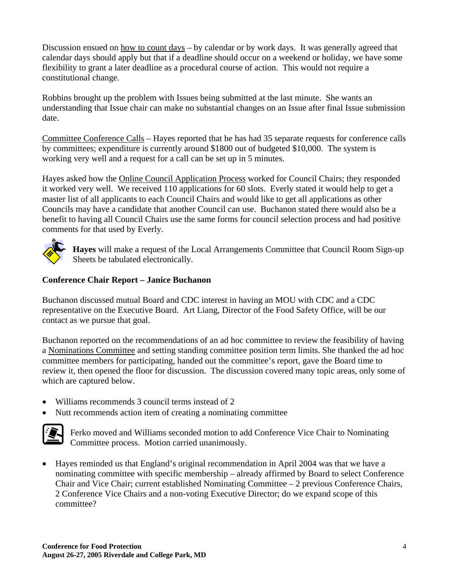Discussion ensued on how to count days – by calendar or by work days. It was generally agreed that calendar days should apply but that if a deadline should occur on a weekend or holiday, we have some flexibility to grant a later deadline as a procedural course of action. This would not require a constitutional change.

Robbins brought up the problem with Issues being submitted at the last minute. She wants an understanding that Issue chair can make no substantial changes on an Issue after final Issue submission date.

Committee Conference Calls – Hayes reported that he has had 35 separate requests for conference calls by committees; expenditure is currently around \$1800 out of budgeted \$10,000. The system is working very well and a request for a call can be set up in 5 minutes.

Hayes asked how the Online Council Application Process worked for Council Chairs; they responded it worked very well. We received 110 applications for 60 slots. Everly stated it would help to get a master list of all applicants to each Council Chairs and would like to get all applications as other Councils may have a candidate that another Council can use. Buchanon stated there would also be a benefit to having all Council Chairs use the same forms for council selection process and had positive comments for that used by Everly.



**Hayes** will make a request of the Local Arrangements Committee that Council Room Sign-up Sheets be tabulated electronically.

#### **Conference Chair Report – Janice Buchanon**

Buchanon discussed mutual Board and CDC interest in having an MOU with CDC and a CDC representative on the Executive Board. Art Liang, Director of the Food Safety Office, will be our contact as we pursue that goal.

Buchanon reported on the recommendations of an ad hoc committee to review the feasibility of having a Nominations Committee and setting standing committee position term limits. She thanked the ad hoc committee members for participating, handed out the committee's report, gave the Board time to review it, then opened the floor for discussion. The discussion covered many topic areas, only some of which are captured below.

- Williams recommends 3 council terms instead of 2
- Nutt recommends action item of creating a nominating committee



Ferko moved and Williams seconded motion to add Conference Vice Chair to Nominating Committee process. Motion carried unanimously.

• Hayes reminded us that England's original recommendation in April 2004 was that we have a nominating committee with specific membership – already affirmed by Board to select Conference Chair and Vice Chair; current established Nominating Committee – 2 previous Conference Chairs, 2 Conference Vice Chairs and a non-voting Executive Director; do we expand scope of this committee?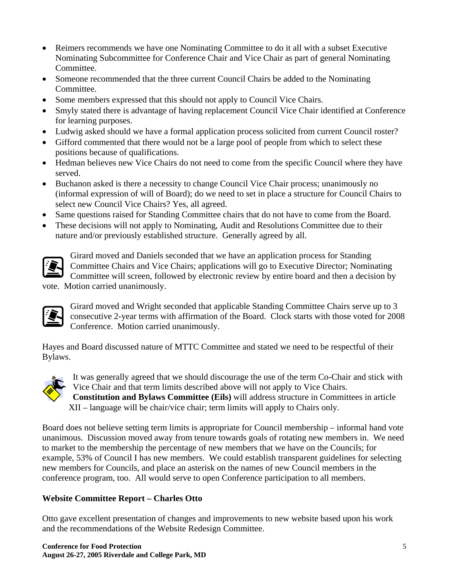- Reimers recommends we have one Nominating Committee to do it all with a subset Executive Nominating Subcommittee for Conference Chair and Vice Chair as part of general Nominating Committee.
- Someone recommended that the three current Council Chairs be added to the Nominating Committee.
- Some members expressed that this should not apply to Council Vice Chairs.
- Smyly stated there is advantage of having replacement Council Vice Chair identified at Conference for learning purposes.
- Ludwig asked should we have a formal application process solicited from current Council roster?
- Gifford commented that there would not be a large pool of people from which to select these positions because of qualifications.
- Hedman believes new Vice Chairs do not need to come from the specific Council where they have served.
- Buchanon asked is there a necessity to change Council Vice Chair process; unanimously no (informal expression of will of Board); do we need to set in place a structure for Council Chairs to select new Council Vice Chairs? Yes, all agreed.
- Same questions raised for Standing Committee chairs that do not have to come from the Board.
- These decisions will not apply to Nominating, Audit and Resolutions Committee due to their nature and/or previously established structure. Generally agreed by all.



Girard moved and Daniels seconded that we have an application process for Standing Committee Chairs and Vice Chairs; applications will go to Executive Director; Nominating Committee will screen, followed by electronic review by entire board and then a decision by

vote. Motion carried unanimously.



Girard moved and Wright seconded that applicable Standing Committee Chairs serve up to 3 consecutive 2-year terms with affirmation of the Board. Clock starts with those voted for 2008 Conference. Motion carried unanimously.

Hayes and Board discussed nature of MTTC Committee and stated we need to be respectful of their Bylaws.



It was generally agreed that we should discourage the use of the term Co-Chair and stick with Vice Chair and that term limits described above will not apply to Vice Chairs.

**Constitution and Bylaws Committee (Eils)** will address structure in Committees in article XII – language will be chair/vice chair; term limits will apply to Chairs only.

Board does not believe setting term limits is appropriate for Council membership – informal hand vote unanimous. Discussion moved away from tenure towards goals of rotating new members in. We need to market to the membership the percentage of new members that we have on the Councils; for example, 53% of Council I has new members. We could establish transparent guidelines for selecting new members for Councils, and place an asterisk on the names of new Council members in the conference program, too. All would serve to open Conference participation to all members.

### **Website Committee Report – Charles Otto**

Otto gave excellent presentation of changes and improvements to new website based upon his work and the recommendations of the Website Redesign Committee.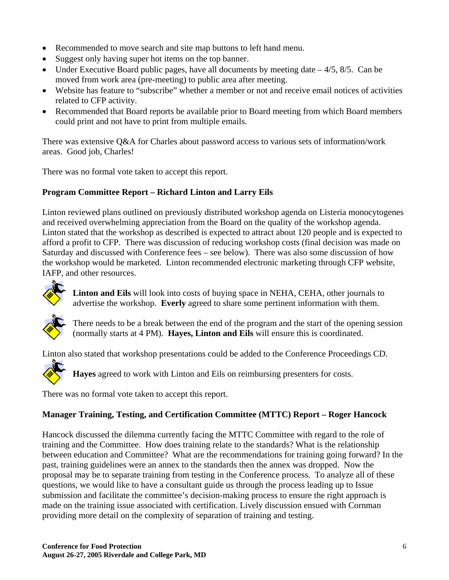- Recommended to move search and site map buttons to left hand menu.
- Suggest only having super hot items on the top banner.
- Under Executive Board public pages, have all documents by meeting date  $-4/5$ ,  $8/5$ . Can be moved from work area (pre-meeting) to public area after meeting.
- Website has feature to "subscribe" whether a member or not and receive email notices of activities related to CFP activity.
- Recommended that Board reports be available prior to Board meeting from which Board members could print and not have to print from multiple emails.

There was extensive Q&A for Charles about password access to various sets of information/work areas. Good job, Charles!

There was no formal vote taken to accept this report.

### **Program Committee Report – Richard Linton and Larry Eils**

Linton reviewed plans outlined on previously distributed workshop agenda on Listeria monocytogenes and received overwhelming appreciation from the Board on the quality of the workshop agenda. Linton stated that the workshop as described is expected to attract about 120 people and is expected to afford a profit to CFP. There was discussion of reducing workshop costs (final decision was made on Saturday and discussed with Conference fees – see below). There was also some discussion of how the workshop would be marketed. Linton recommended electronic marketing through CFP website, IAFP, and other resources.



**Linton and Eils** will look into costs of buying space in NEHA, CEHA, other journals to advertise the workshop. **Everly** agreed to share some pertinent information with them.



There needs to be a break between the end of the program and the start of the opening session (normally starts at 4 PM). **Hayes, Linton and Eils** will ensure this is coordinated.

Linton also stated that workshop presentations could be added to the Conference Proceedings CD.



**Hayes** agreed to work with Linton and Eils on reimbursing presenters for costs.

There was no formal vote taken to accept this report.

### **Manager Training, Testing, and Certification Committee (MTTC) Report – Roger Hancock**

Hancock discussed the dilemma currently facing the MTTC Committee with regard to the role of training and the Committee. How does training relate to the standards? What is the relationship between education and Committee? What are the recommendations for training going forward? In the past, training guidelines were an annex to the standards then the annex was dropped. Now the proposal may be to separate training from testing in the Conference process. To analyze all of these questions, we would like to have a consultant guide us through the process leading up to Issue submission and facilitate the committee's decision-making process to ensure the right approach is made on the training issue associated with certification. Lively discussion ensued with Cornman providing more detail on the complexity of separation of training and testing.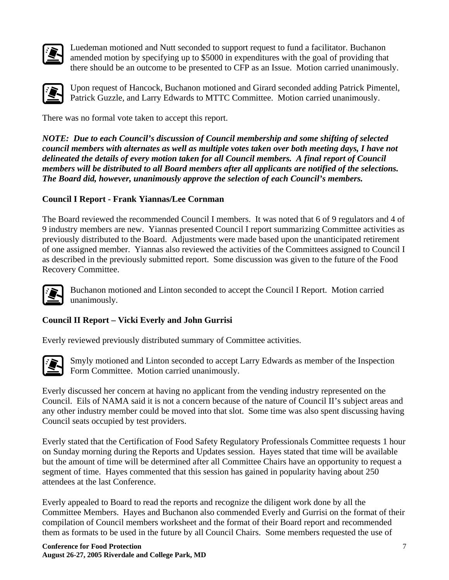

Luedeman motioned and Nutt seconded to support request to fund a facilitator. Buchanon amended motion by specifying up to \$5000 in expenditures with the goal of providing that there should be an outcome to be presented to CFP as an Issue. Motion carried unanimously.



Upon request of Hancock, Buchanon motioned and Girard seconded adding Patrick Pimentel, Patrick Guzzle, and Larry Edwards to MTTC Committee. Motion carried unanimously.

There was no formal vote taken to accept this report.

*NOTE: Due to each Council's discussion of Council membership and some shifting of selected council members with alternates as well as multiple votes taken over both meeting days, I have not delineated the details of every motion taken for all Council members. A final report of Council members will be distributed to all Board members after all applicants are notified of the selections. The Board did, however, unanimously approve the selection of each Council's members.* 

### **Council I Report - Frank Yiannas/Lee Cornman**

The Board reviewed the recommended Council I members. It was noted that 6 of 9 regulators and 4 of 9 industry members are new. Yiannas presented Council I report summarizing Committee activities as previously distributed to the Board. Adjustments were made based upon the unanticipated retirement of one assigned member. Yiannas also reviewed the activities of the Committees assigned to Council I as described in the previously submitted report. Some discussion was given to the future of the Food Recovery Committee.



Buchanon motioned and Linton seconded to accept the Council I Report. Motion carried unanimously.

## **Council II Report – Vicki Everly and John Gurrisi**

Everly reviewed previously distributed summary of Committee activities.



Smyly motioned and Linton seconded to accept Larry Edwards as member of the Inspection Form Committee. Motion carried unanimously.

Everly discussed her concern at having no applicant from the vending industry represented on the Council. Eils of NAMA said it is not a concern because of the nature of Council II's subject areas and any other industry member could be moved into that slot. Some time was also spent discussing having Council seats occupied by test providers.

Everly stated that the Certification of Food Safety Regulatory Professionals Committee requests 1 hour on Sunday morning during the Reports and Updates session. Hayes stated that time will be available but the amount of time will be determined after all Committee Chairs have an opportunity to request a segment of time. Hayes commented that this session has gained in popularity having about 250 attendees at the last Conference.

Everly appealed to Board to read the reports and recognize the diligent work done by all the Committee Members. Hayes and Buchanon also commended Everly and Gurrisi on the format of their compilation of Council members worksheet and the format of their Board report and recommended them as formats to be used in the future by all Council Chairs. Some members requested the use of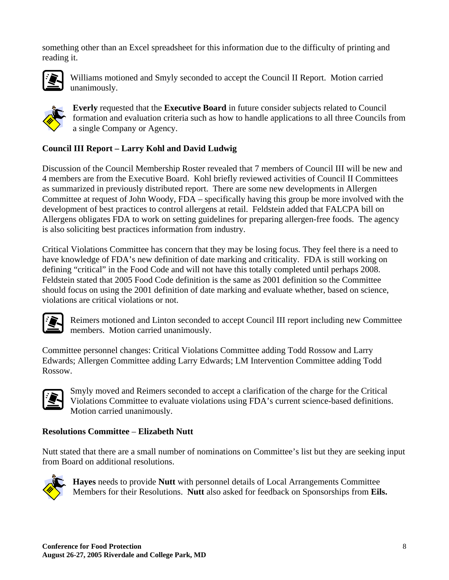something other than an Excel spreadsheet for this information due to the difficulty of printing and reading it.



Williams motioned and Smyly seconded to accept the Council II Report. Motion carried unanimously.



**Everly** requested that the **Executive Board** in future consider subjects related to Council formation and evaluation criteria such as how to handle applications to all three Councils from a single Company or Agency.

### **Council III Report – Larry Kohl and David Ludwig**

Discussion of the Council Membership Roster revealed that 7 members of Council III will be new and 4 members are from the Executive Board. Kohl briefly reviewed activities of Council II Committees as summarized in previously distributed report. There are some new developments in Allergen Committee at request of John Woody, FDA – specifically having this group be more involved with the development of best practices to control allergens at retail. Feldstein added that FALCPA bill on Allergens obligates FDA to work on setting guidelines for preparing allergen-free foods. The agency is also soliciting best practices information from industry.

Critical Violations Committee has concern that they may be losing focus. They feel there is a need to have knowledge of FDA's new definition of date marking and criticality. FDA is still working on defining "critical" in the Food Code and will not have this totally completed until perhaps 2008. Feldstein stated that 2005 Food Code definition is the same as 2001 definition so the Committee should focus on using the 2001 definition of date marking and evaluate whether, based on science, violations are critical violations or not.



Reimers motioned and Linton seconded to accept Council III report including new Committee members. Motion carried unanimously.

Committee personnel changes: Critical Violations Committee adding Todd Rossow and Larry Edwards; Allergen Committee adding Larry Edwards; LM Intervention Committee adding Todd Rossow.



Smyly moved and Reimers seconded to accept a clarification of the charge for the Critical Violations Committee to evaluate violations using FDA's current science-based definitions. Motion carried unanimously.

#### **Resolutions Committee** – **Elizabeth Nutt**

Nutt stated that there are a small number of nominations on Committee's list but they are seeking input from Board on additional resolutions.



**Hayes** needs to provide **Nutt** with personnel details of Local Arrangements Committee Members for their Resolutions. **Nutt** also asked for feedback on Sponsorships from **Eils.**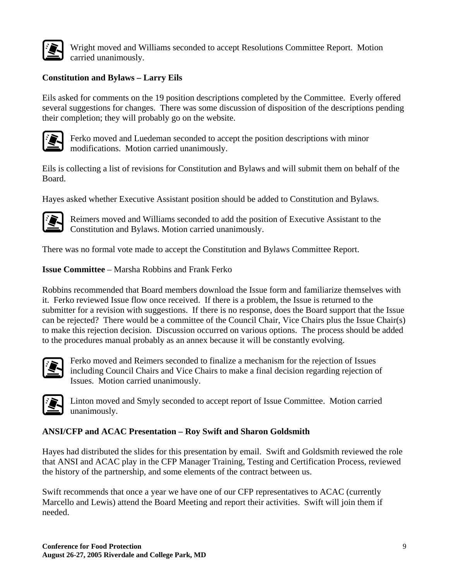

Wright moved and Williams seconded to accept Resolutions Committee Report. Motion carried unanimously.

### **Constitution and Bylaws – Larry Eils**

Eils asked for comments on the 19 position descriptions completed by the Committee. Everly offered several suggestions for changes. There was some discussion of disposition of the descriptions pending their completion; they will probably go on the website.



Ferko moved and Luedeman seconded to accept the position descriptions with minor modifications. Motion carried unanimously.

Eils is collecting a list of revisions for Constitution and Bylaws and will submit them on behalf of the Board.

Hayes asked whether Executive Assistant position should be added to Constitution and Bylaws.



Reimers moved and Williams seconded to add the position of Executive Assistant to the Constitution and Bylaws. Motion carried unanimously.

There was no formal vote made to accept the Constitution and Bylaws Committee Report.

**Issue Committee** – Marsha Robbins and Frank Ferko

Robbins recommended that Board members download the Issue form and familiarize themselves with it. Ferko reviewed Issue flow once received. If there is a problem, the Issue is returned to the submitter for a revision with suggestions. If there is no response, does the Board support that the Issue can be rejected? There would be a committee of the Council Chair, Vice Chairs plus the Issue Chair(s) to make this rejection decision. Discussion occurred on various options. The process should be added to the procedures manual probably as an annex because it will be constantly evolving.



Ferko moved and Reimers seconded to finalize a mechanism for the rejection of Issues including Council Chairs and Vice Chairs to make a final decision regarding rejection of Issues. Motion carried unanimously.



Linton moved and Smyly seconded to accept report of Issue Committee. Motion carried unanimously.

#### **ANSI/CFP and ACAC Presentation – Roy Swift and Sharon Goldsmith**

Hayes had distributed the slides for this presentation by email. Swift and Goldsmith reviewed the role that ANSI and ACAC play in the CFP Manager Training, Testing and Certification Process, reviewed the history of the partnership, and some elements of the contract between us.

Swift recommends that once a year we have one of our CFP representatives to ACAC (currently Marcello and Lewis) attend the Board Meeting and report their activities. Swift will join them if needed.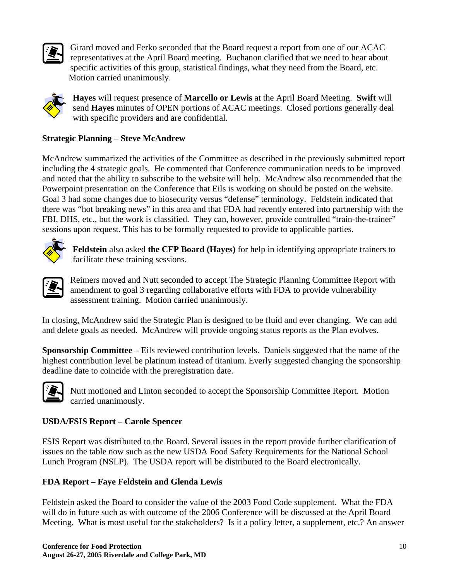

Girard moved and Ferko seconded that the Board request a report from one of our ACAC representatives at the April Board meeting. Buchanon clarified that we need to hear about specific activities of this group, statistical findings, what they need from the Board, etc. Motion carried unanimously.



**Hayes** will request presence of **Marcello or Lewis** at the April Board Meeting. **Swift** will send **Hayes** minutes of OPEN portions of ACAC meetings. Closed portions generally deal with specific providers and are confidential.

#### **Strategic Planning** – **Steve McAndrew**

McAndrew summarized the activities of the Committee as described in the previously submitted report including the 4 strategic goals. He commented that Conference communication needs to be improved and noted that the ability to subscribe to the website will help. McAndrew also recommended that the Powerpoint presentation on the Conference that Eils is working on should be posted on the website. Goal 3 had some changes due to biosecurity versus "defense" terminology. Feldstein indicated that there was "hot breaking news" in this area and that FDA had recently entered into partnership with the FBI, DHS, etc., but the work is classified. They can, however, provide controlled "train-the-trainer" sessions upon request. This has to be formally requested to provide to applicable parties.



**Feldstein** also asked **the CFP Board (Hayes)** for help in identifying appropriate trainers to facilitate these training sessions.



Reimers moved and Nutt seconded to accept The Strategic Planning Committee Report with amendment to goal 3 regarding collaborative efforts with FDA to provide vulnerability assessment training. Motion carried unanimously.

In closing, McAndrew said the Strategic Plan is designed to be fluid and ever changing. We can add and delete goals as needed. McAndrew will provide ongoing status reports as the Plan evolves.

**Sponsorship Committee** – Eils reviewed contribution levels. Daniels suggested that the name of the highest contribution level be platinum instead of titanium. Everly suggested changing the sponsorship deadline date to coincide with the preregistration date.



Nutt motioned and Linton seconded to accept the Sponsorship Committee Report. Motion carried unanimously.

#### **USDA/FSIS Report – Carole Spencer**

FSIS Report was distributed to the Board. Several issues in the report provide further clarification of issues on the table now such as the new USDA Food Safety Requirements for the National School Lunch Program (NSLP). The USDA report will be distributed to the Board electronically.

### **FDA Report – Faye Feldstein and Glenda Lewis**

Feldstein asked the Board to consider the value of the 2003 Food Code supplement. What the FDA will do in future such as with outcome of the 2006 Conference will be discussed at the April Board Meeting. What is most useful for the stakeholders? Is it a policy letter, a supplement, etc.? An answer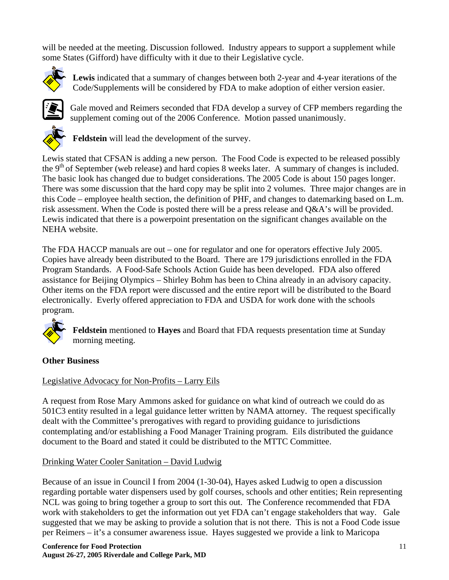will be needed at the meeting. Discussion followed. Industry appears to support a supplement while some States (Gifford) have difficulty with it due to their Legislative cycle.



**Lewis** indicated that a summary of changes between both 2-year and 4-year iterations of the Code/Supplements will be considered by FDA to make adoption of either version easier.



Gale moved and Reimers seconded that FDA develop a survey of CFP members regarding the supplement coming out of the 2006 Conference. Motion passed unanimously.



**Feldstein** will lead the development of the survey.

Lewis stated that CFSAN is adding a new person. The Food Code is expected to be released possibly the  $9<sup>th</sup>$  of September (web release) and hard copies 8 weeks later. A summary of changes is included. The basic look has changed due to budget considerations. The 2005 Code is about 150 pages longer. There was some discussion that the hard copy may be split into 2 volumes. Three major changes are in this Code – employee health section, the definition of PHF, and changes to datemarking based on L.m. risk assessment. When the Code is posted there will be a press release and Q&A's will be provided. Lewis indicated that there is a powerpoint presentation on the significant changes available on the NEHA website.

The FDA HACCP manuals are out – one for regulator and one for operators effective July 2005. Copies have already been distributed to the Board. There are 179 jurisdictions enrolled in the FDA Program Standards. A Food-Safe Schools Action Guide has been developed. FDA also offered assistance for Beijing Olympics – Shirley Bohm has been to China already in an advisory capacity. Other items on the FDA report were discussed and the entire report will be distributed to the Board electronically. Everly offered appreciation to FDA and USDA for work done with the schools program.



**Feldstein** mentioned to **Hayes** and Board that FDA requests presentation time at Sunday morning meeting.

### **Other Business**

### Legislative Advocacy for Non-Profits – Larry Eils

A request from Rose Mary Ammons asked for guidance on what kind of outreach we could do as 501C3 entity resulted in a legal guidance letter written by NAMA attorney. The request specifically dealt with the Committee's prerogatives with regard to providing guidance to jurisdictions contemplating and/or establishing a Food Manager Training program. Eils distributed the guidance document to the Board and stated it could be distributed to the MTTC Committee.

### Drinking Water Cooler Sanitation – David Ludwig

Because of an issue in Council I from 2004 (1-30-04), Hayes asked Ludwig to open a discussion regarding portable water dispensers used by golf courses, schools and other entities; Rein representing NCL was going to bring together a group to sort this out. The Conference recommended that FDA work with stakeholders to get the information out yet FDA can't engage stakeholders that way. Gale suggested that we may be asking to provide a solution that is not there. This is not a Food Code issue per Reimers – it's a consumer awareness issue. Hayes suggested we provide a link to Maricopa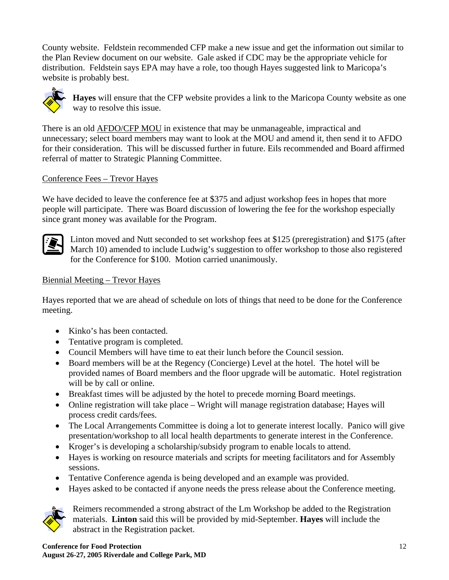County website. Feldstein recommended CFP make a new issue and get the information out similar to the Plan Review document on our website. Gale asked if CDC may be the appropriate vehicle for distribution. Feldstein says EPA may have a role, too though Hayes suggested link to Maricopa's website is probably best.



**Hayes** will ensure that the CFP website provides a link to the Maricopa County website as one way to resolve this issue.

There is an old **AFDO/CFP MOU** in existence that may be unmanageable, impractical and unnecessary; select board members may want to look at the MOU and amend it, then send it to AFDO for their consideration. This will be discussed further in future. Eils recommended and Board affirmed referral of matter to Strategic Planning Committee.

#### Conference Fees – Trevor Hayes

We have decided to leave the conference fee at \$375 and adjust workshop fees in hopes that more people will participate. There was Board discussion of lowering the fee for the workshop especially since grant money was available for the Program.



Linton moved and Nutt seconded to set workshop fees at \$125 (preregistration) and \$175 (after March 10) amended to include Ludwig's suggestion to offer workshop to those also registered for the Conference for \$100. Motion carried unanimously.

#### Biennial Meeting – Trevor Hayes

Hayes reported that we are ahead of schedule on lots of things that need to be done for the Conference meeting.

- Kinko's has been contacted.
- Tentative program is completed.
- Council Members will have time to eat their lunch before the Council session.
- Board members will be at the Regency (Concierge) Level at the hotel. The hotel will be provided names of Board members and the floor upgrade will be automatic. Hotel registration will be by call or online.
- Breakfast times will be adjusted by the hotel to precede morning Board meetings.
- Online registration will take place Wright will manage registration database; Hayes will process credit cards/fees.
- The Local Arrangements Committee is doing a lot to generate interest locally. Panico will give presentation/workshop to all local health departments to generate interest in the Conference.
- Kroger's is developing a scholarship/subsidy program to enable locals to attend.
- Hayes is working on resource materials and scripts for meeting facilitators and for Assembly sessions.
- Tentative Conference agenda is being developed and an example was provided.
- Hayes asked to be contacted if anyone needs the press release about the Conference meeting.



Reimers recommended a strong abstract of the Lm Workshop be added to the Registration materials. **Linton** said this will be provided by mid-September. **Hayes** will include the abstract in the Registration packet.